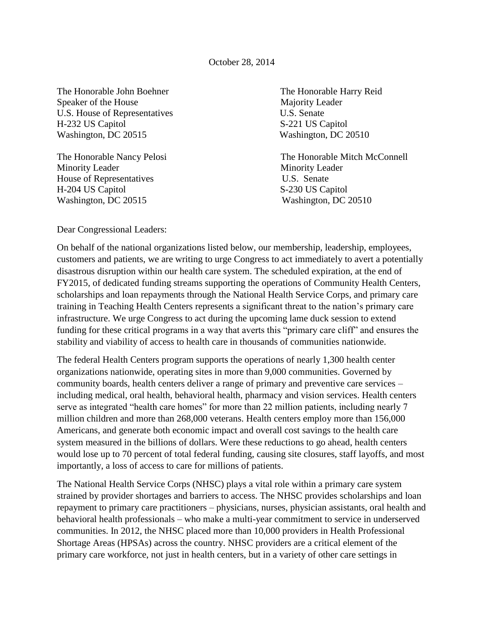October 28, 2014

The Honorable John Boehner The Honorable Harry Reid Speaker of the House Majority Leader U.S. House of Representatives U.S. Senate H-232 US Capitol S-221 US Capitol Washington, DC 20515 Washington, DC 20510

Minority Leader Minority Leader House of Representatives U.S. Senate H-204 US Capitol S-230 US Capitol Washington, DC 20515 Washington, DC 20510

The Honorable Nancy Pelosi The Honorable Mitch McConnell

Dear Congressional Leaders:

On behalf of the national organizations listed below, our membership, leadership, employees, customers and patients, we are writing to urge Congress to act immediately to avert a potentially disastrous disruption within our health care system. The scheduled expiration, at the end of FY2015, of dedicated funding streams supporting the operations of Community Health Centers, scholarships and loan repayments through the National Health Service Corps, and primary care training in Teaching Health Centers represents a significant threat to the nation's primary care infrastructure. We urge Congress to act during the upcoming lame duck session to extend funding for these critical programs in a way that averts this "primary care cliff" and ensures the stability and viability of access to health care in thousands of communities nationwide.

The federal Health Centers program supports the operations of nearly 1,300 health center organizations nationwide, operating sites in more than 9,000 communities. Governed by community boards, health centers deliver a range of primary and preventive care services – including medical, oral health, behavioral health, pharmacy and vision services. Health centers serve as integrated "health care homes" for more than 22 million patients, including nearly 7 million children and more than 268,000 veterans. Health centers employ more than 156,000 Americans, and generate both economic impact and overall cost savings to the health care system measured in the billions of dollars. Were these reductions to go ahead, health centers would lose up to 70 percent of total federal funding, causing site closures, staff layoffs, and most importantly, a loss of access to care for millions of patients.

The National Health Service Corps (NHSC) plays a vital role within a primary care system strained by provider shortages and barriers to access. The NHSC provides scholarships and loan repayment to primary care practitioners – physicians, nurses, physician assistants, oral health and behavioral health professionals – who make a multi-year commitment to service in underserved communities. In 2012, the NHSC placed more than 10,000 providers in Health Professional Shortage Areas (HPSAs) across the country. NHSC providers are a critical element of the primary care workforce, not just in health centers, but in a variety of other care settings in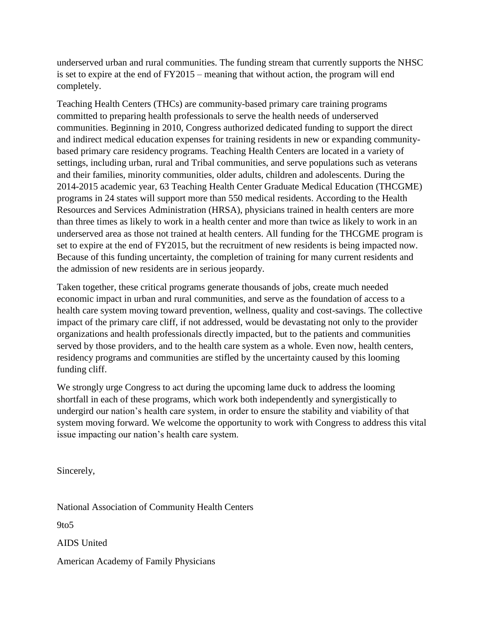underserved urban and rural communities. The funding stream that currently supports the NHSC is set to expire at the end of FY2015 – meaning that without action, the program will end completely.

Teaching Health Centers (THCs) are community-based primary care training programs committed to preparing health professionals to serve the health needs of underserved communities. Beginning in 2010, Congress authorized dedicated funding to support the direct and indirect medical education expenses for training residents in new or expanding communitybased primary care residency programs. Teaching Health Centers are located in a variety of settings, including urban, rural and Tribal communities, and serve populations such as veterans and their families, minority communities, older adults, children and adolescents. During the 2014-2015 academic year, 63 Teaching Health Center Graduate Medical Education (THCGME) programs in 24 states will support more than 550 medical residents. According to the Health Resources and Services Administration (HRSA), physicians trained in health centers are more than three times as likely to work in a health center and more than twice as likely to work in an underserved area as those not trained at health centers. All funding for the THCGME program is set to expire at the end of FY2015, but the recruitment of new residents is being impacted now. Because of this funding uncertainty, the completion of training for many current residents and the admission of new residents are in serious jeopardy.

Taken together, these critical programs generate thousands of jobs, create much needed economic impact in urban and rural communities, and serve as the foundation of access to a health care system moving toward prevention, wellness, quality and cost-savings. The collective impact of the primary care cliff, if not addressed, would be devastating not only to the provider organizations and health professionals directly impacted, but to the patients and communities served by those providers, and to the health care system as a whole. Even now, health centers, residency programs and communities are stifled by the uncertainty caused by this looming funding cliff.

We strongly urge Congress to act during the upcoming lame duck to address the looming shortfall in each of these programs, which work both independently and synergistically to undergird our nation's health care system, in order to ensure the stability and viability of that system moving forward. We welcome the opportunity to work with Congress to address this vital issue impacting our nation's health care system.

Sincerely,

National Association of Community Health Centers

9to5

AIDS United

American Academy of Family Physicians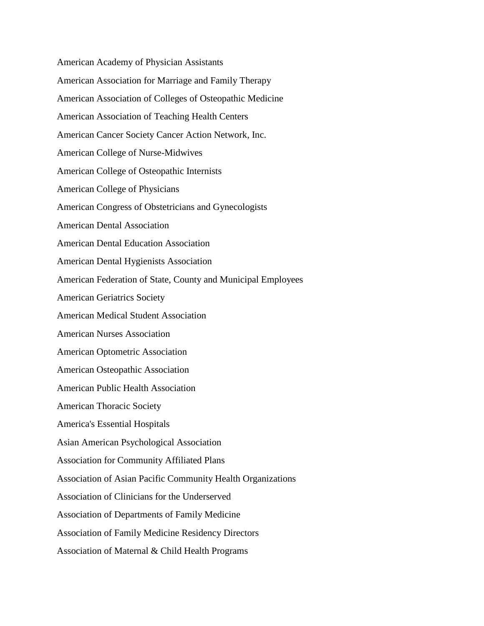American Academy of Physician Assistants American Association for Marriage and Family Therapy American Association of Colleges of Osteopathic Medicine American Association of Teaching Health Centers American Cancer Society Cancer Action Network, Inc. American College of Nurse-Midwives American College of Osteopathic Internists American College of Physicians American Congress of Obstetricians and Gynecologists American Dental Association American Dental Education Association American Dental Hygienists Association American Federation of State, County and Municipal Employees American Geriatrics Society American Medical Student Association American Nurses Association American Optometric Association American Osteopathic Association American Public Health Association American Thoracic Society America's Essential Hospitals Asian American Psychological Association Association for Community Affiliated Plans Association of Asian Pacific Community Health Organizations Association of Clinicians for the Underserved Association of Departments of Family Medicine Association of Family Medicine Residency Directors Association of Maternal & Child Health Programs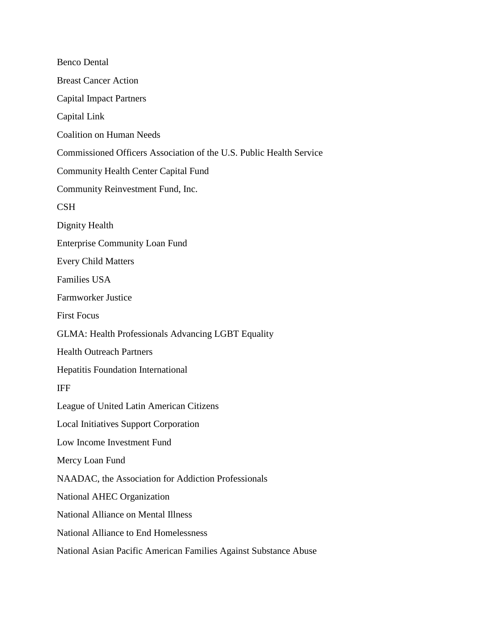Benco Dental Breast Cancer Action Capital Impact Partners Capital Link Coalition on Human Needs Commissioned Officers Association of the U.S. Public Health Service Community Health Center Capital Fund Community Reinvestment Fund, Inc. CSH Dignity Health Enterprise Community Loan Fund Every Child Matters Families USA Farmworker Justice First Focus GLMA: Health Professionals Advancing LGBT Equality Health Outreach Partners Hepatitis Foundation International IFF League of United Latin American Citizens Local Initiatives Support Corporation Low Income Investment Fund Mercy Loan Fund NAADAC, the Association for Addiction Professionals National AHEC Organization National Alliance on Mental Illness National Alliance to End Homelessness National Asian Pacific American Families Against Substance Abuse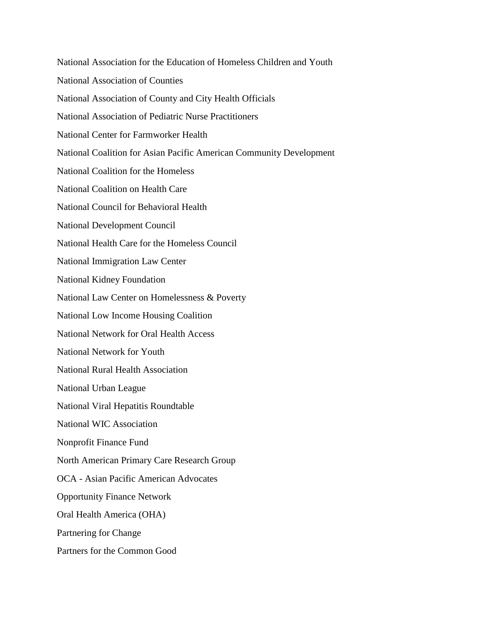National Association for the Education of Homeless Children and Youth National Association of Counties National Association of County and City Health Officials National Association of Pediatric Nurse Practitioners National Center for Farmworker Health National Coalition for Asian Pacific American Community Development National Coalition for the Homeless National Coalition on Health Care National Council for Behavioral Health National Development Council National Health Care for the Homeless Council National Immigration Law Center National Kidney Foundation National Law Center on Homelessness & Poverty National Low Income Housing Coalition National Network for Oral Health Access National Network for Youth National Rural Health Association National Urban League National Viral Hepatitis Roundtable National WIC Association Nonprofit Finance Fund North American Primary Care Research Group OCA - Asian Pacific American Advocates Opportunity Finance Network Oral Health America (OHA) Partnering for Change Partners for the Common Good